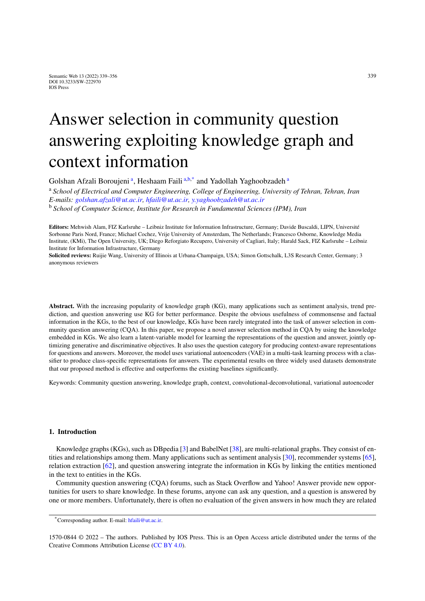# Answer selection in community question answering exploiting knowledge graph and context information

<span id="page-0-0"></span>Golsh[a](#page-0-0)n Afzali Boroujeni<sup>a</sup>, Heshaam Faili<sup>a[,b](#page-0-1)[,\\*](#page-0-2)</sup> and Yadollah Yaghoobzadeh<sup>a</sup>

<span id="page-0-1"></span><sup>a</sup> *School of Electrical and Computer Engineering, College of Engineering, University of Tehran, Tehran, Iran E-mails: [golshan.afzali@ut.ac.ir](mailto:golshan.afzali@ut.ac.ir), [hfaili@ut.ac.ir](mailto:hfaili@ut.ac.ir), [y.yaghoobzadeh@ut.ac.ir](mailto:y.yaghoobzadeh@ut.ac.ir)* <sup>b</sup> *School of Computer Science, Institute for Research in Fundamental Sciences (IPM), Iran*

**Editors:** Mehwish Alam, FIZ Karlsruhe – Leibniz Institute for Information Infrastructure, Germany; Davide Buscaldi, LIPN, Université Sorbonne Paris Nord, France; Michael Cochez, Vrije University of Amsterdam, The Netherlands; Francesco Osborne, Knowledge Media Institute, (KMi), The Open University, UK; Diego Reforgiato Recupero, University of Cagliari, Italy; Harald Sack, FIZ Karlsruhe – Leibniz Institute for Information Infrastructure, Germany

**Solicited reviews:** Ruijie Wang, University of Illinois at Urbana-Champaign, USA; Simon Gottschalk, L3S Research Center, Germany; 3 anonymous reviewers

**Abstract.** With the increasing popularity of knowledge graph (KG), many applications such as sentiment analysis, trend prediction, and question answering use KG for better performance. Despite the obvious usefulness of commonsense and factual information in the KGs, to the best of our knowledge, KGs have been rarely integrated into the task of answer selection in community question answering (CQA). In this paper, we propose a novel answer selection method in CQA by using the knowledge embedded in KGs. We also learn a latent-variable model for learning the representations of the question and answer, jointly optimizing generative and discriminative objectives. It also uses the question category for producing context-aware representations for questions and answers. Moreover, the model uses variational autoencoders (VAE) in a multi-task learning process with a classifier to produce class-specific representations for answers. The experimental results on three widely used datasets demonstrate that our proposed method is effective and outperforms the existing baselines significantly.

Keywords: Community question answering, knowledge graph, context, convolutional-deconvolutional, variational autoencoder

## **1. Introduction**

Knowledge graphs (KGs), such as DBpedia [\[3](#page-15-0)] and BabelNet [[38\]](#page-16-0), are multi-relational graphs. They consist of entities and relationships among them. Many applications such as sentiment analysis [\[30\]](#page-16-1), recommender systems [[65\]](#page-17-0), relation extraction [\[62](#page-17-1)], and question answering integrate the information in KGs by linking the entities mentioned in the text to entities in the KGs.

Community question answering (CQA) forums, such as Stack Overflow and Yahoo! Answer provide new opportunities for users to share knowledge. In these forums, anyone can ask any question, and a question is answered by one or more members. Unfortunately, there is often no evaluation of the given answers in how much they are related

<span id="page-0-2"></span><sup>\*</sup>Corresponding author. E-mail: [hfaili@ut.ac.ir.](mailto:hfaili@ut.ac.ir)

<sup>1570-0844 © 2022 –</sup> The authors. Published by IOS Press. This is an Open Access article distributed under the terms of the Creative Commons Attribution License ([CC BY 4.0](https://creativecommons.org/licenses/by/4.0/)).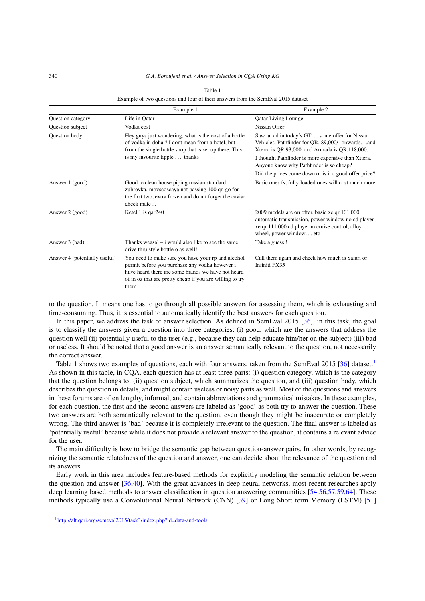#### 340 *G.A. Boroujeni et al. / Answer Selection in CQA Using KG*

|                               | Example 1                                                                                                                                                                                                                      | Example 2                                                                                                                                                                       |
|-------------------------------|--------------------------------------------------------------------------------------------------------------------------------------------------------------------------------------------------------------------------------|---------------------------------------------------------------------------------------------------------------------------------------------------------------------------------|
| Question category             | Life in Qatar                                                                                                                                                                                                                  | <b>Qatar Living Lounge</b>                                                                                                                                                      |
| Question subject              | Vodka cost                                                                                                                                                                                                                     | Nissan Offer                                                                                                                                                                    |
| <b>Ouestion body</b>          | Hey guys just wondering, what is the cost of a bottle<br>of vodka in doha? I dont mean from a hotel, but<br>from the single bottle shop that is set up there. This<br>is my favourite tipple  thanks                           | Saw an ad in today's GT some offer for Nissan<br>Vehicles. Pathfinder for QR. 89,000/- onwardsand<br>Xterra is QR.93,000. and Armada is QR.118,000.                             |
|                               |                                                                                                                                                                                                                                | I thought Pathfinder is more expensive than Xttera.<br>Anyone know why Pathfinder is so cheap?                                                                                  |
|                               |                                                                                                                                                                                                                                | Did the prices come down or is it a good offer price?                                                                                                                           |
| Answer 1 (good)               | Good to clean house piping russian standard,<br>zubrovka, movscoscaya not passing 100 qr. go for<br>the first two, extra frozen and do n't forget the caviar<br>check mate                                                     | Basic ones fs, fully loaded ones will cost much more                                                                                                                            |
| Answer 2 (good)               | Ketel 1 is $qar240$                                                                                                                                                                                                            | 2009 models are on offer. basic xe qr 101 000<br>automatic transmission, power window no cd player<br>xe qr 111 000 cd player m cruise control, alloy<br>wheel, power windowetc |
| Answer 3 (bad)                | Thanks weasal $-$ i would also like to see the same<br>drive thru style bottle o as well!                                                                                                                                      | Take a guess !                                                                                                                                                                  |
| Answer 4 (potentially useful) | You need to make sure you have your rp and alcohol<br>permit before you purchase any vodka however i<br>have heard there are some brands we have not heard<br>of in oz that are pretty cheap if you are willing to try<br>them | Call them again and check how much is Safari or<br>Infiniti FX35                                                                                                                |

#### Table 1

<span id="page-1-0"></span>Example of two questions and four of their answers from the SemEval 2015 dataset

to the question. It means one has to go through all possible answers for assessing them, which is exhausting and time-consuming. Thus, it is essential to automatically identify the best answers for each question.

In this paper, we address the task of answer selection. As defined in SemEval 2015 [[36\]](#page-16-2), in this task, the goal is to classify the answers given a question into three categories: (i) good, which are the answers that address the question well (ii) potentially useful to the user (e.g., because they can help educate him/her on the subject) (iii) bad or useless. It should be noted that a good answer is an answer semantically relevant to the question, not necessarily the correct answer.

Table [1](#page-1-0) shows two examples of questions, each with four answers, taken from the SemEval 2015 [\[36](#page-16-2)] dataset.<sup>1</sup> As shown in this table, in CQA, each question has at least three parts: (i) question category, which is the category that the question belongs to; (ii) question subject, which summarizes the question, and (iii) question body, which describes the question in details, and might contain useless or noisy parts as well. Most of the questions and answers in these forums are often lengthy, informal, and contain abbreviations and grammatical mistakes. In these examples, for each question, the first and the second answers are labeled as 'good' as both try to answer the question. These two answers are both semantically relevant to the question, even though they might be inaccurate or completely wrong. The third answer is 'bad' because it is completely irrelevant to the question. The final answer is labeled as 'potentially useful' because while it does not provide a relevant answer to the question, it contains a relevant advice for the user.

The main difficulty is how to bridge the semantic gap between question-answer pairs. In other words, by recognizing the semantic relatedness of the question and answer, one can decide about the relevance of the question and its answers.

Early work in this area includes feature-based methods for explicitly modeling the semantic relation between the question and answer [\[36](#page-16-2),[40](#page-16-3)]. With the great advances in deep neural networks, most recent researches apply deep learning based methods to answer classification in question answering communities [\[54](#page-17-2),[56,](#page-17-3)[57](#page-17-4),[59,](#page-17-5)[64](#page-17-6)]. These methods typically use a Convolutional Neural Network (CNN) [\[39\]](#page-16-4) or Long Short term Memory (LSTM) [\[51](#page-17-7)]

<span id="page-1-1"></span><sup>1</sup><http://alt.qcri.org/semeval2015/task3/index.php?id=data-and-tools>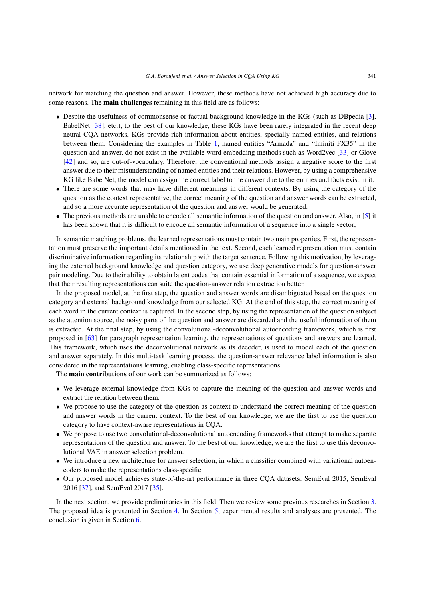network for matching the question and answer. However, these methods have not achieved high accuracy due to some reasons. The **main challenges** remaining in this field are as follows:

- Despite the usefulness of commonsense or factual background knowledge in the KGs (such as DBpedia [[3\]](#page-15-0), BabelNet [\[38](#page-16-0)], etc.), to the best of our knowledge, these KGs have been rarely integrated in the recent deep neural CQA networks. KGs provide rich information about entities, specially named entities, and relations between them. Considering the examples in Table [1](#page-1-0), named entities "Armada" and "Infiniti FX35" in the question and answer, do not exist in the available word embedding methods such as Word2vec [\[33](#page-16-5)] or Glove [[42\]](#page-16-6) and so, are out-of-vocabulary. Therefore, the conventional methods assign a negative score to the first answer due to their misunderstanding of named entities and their relations. However, by using a comprehensive KG like BabelNet, the model can assign the correct label to the answer due to the entities and facts exist in it.
- There are some words that may have different meanings in different contexts. By using the category of the question as the context representative, the correct meaning of the question and answer words can be extracted, and so a more accurate representation of the question and answer would be generated.
- The previous methods are unable to encode all semantic information of the question and answer. Also, in [\[5\]](#page-15-1) it has been shown that it is difficult to encode all semantic information of a sequence into a single vector;

In semantic matching problems, the learned representations must contain two main properties. First, the representation must preserve the important details mentioned in the text. Second, each learned representation must contain discriminative information regarding its relationship with the target sentence. Following this motivation, by leveraging the external background knowledge and question category, we use deep generative models for question-answer pair modeling. Due to their ability to obtain latent codes that contain essential information of a sequence, we expect that their resulting representations can suite the question-answer relation extraction better.

In the proposed model, at the first step, the question and answer words are disambiguated based on the question category and external background knowledge from our selected KG. At the end of this step, the correct meaning of each word in the current context is captured. In the second step, by using the representation of the question subject as the attention source, the noisy parts of the question and answer are discarded and the useful information of them is extracted. At the final step, by using the convolutional-deconvolutional autoencoding framework, which is first proposed in [\[63\]](#page-17-8) for paragraph representation learning, the representations of questions and answers are learned. This framework, which uses the deconvolutional network as its decoder, is used to model each of the question and answer separately. In this multi-task learning process, the question-answer relevance label information is also considered in the representations learning, enabling class-specific representations.

The **main contributions** of our work can be summarized as follows:

- We leverage external knowledge from KGs to capture the meaning of the question and answer words and extract the relation between them.
- We propose to use the category of the question as context to understand the correct meaning of the question and answer words in the current context. To the best of our knowledge, we are the first to use the question category to have context-aware representations in CQA.
- We propose to use two convolutional-deconvolutional autoencoding frameworks that attempt to make separate representations of the question and answer. To the best of our knowledge, we are the first to use this deconvolutional VAE in answer selection problem.
- We introduce a new architecture for answer selection, in which a classifier combined with variational autoencoders to make the representations class-specific.
- Our proposed model achieves state-of-the-art performance in three CQA datasets: SemEval 2015, SemEval 2016 [\[37](#page-16-7)], and SemEval 2017 [\[35](#page-16-8)].

In the next section, we provide preliminaries in this field. Then we review some previous researches in Section [3](#page-3-0). The proposed idea is presented in Section [4](#page-5-0). In Section [5](#page-8-0), experimental results and analyses are presented. The conclusion is given in Section [6](#page-14-0).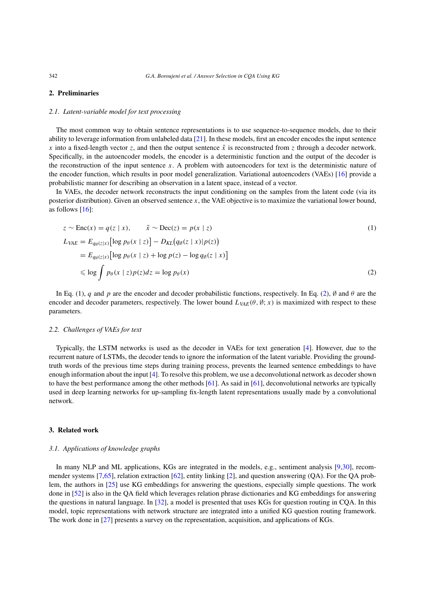## **2. Preliminaries**

#### *2.1. Latent-variable model for text processing*

The most common way to obtain sentence representations is to use sequence-to-sequence models, due to their ability to leverage information from unlabeled data [[21\]](#page-16-9). In these models, first an encoder encodes the input sentence *x* into a fixed-length vector *z*, and then the output sentence  $\tilde{x}$  is reconstructed from *z* through a decoder network. Specifically, in the autoencoder models, the encoder is a deterministic function and the output of the decoder is the reconstruction of the input sentence *x*. A problem with autoencoders for text is the deterministic nature of the encoder function, which results in poor model generalization. Variational autoencoders (VAEs) [[16\]](#page-15-2) provide a probabilistic manner for describing an observation in a latent space, instead of a vector.

In VAEs, the decoder network reconstructs the input conditioning on the samples from the latent code (via its posterior distribution). Given an observed sentence *x*, the VAE objective is to maximize the variational lower bound, as follows  $[16]$  $[16]$ :

<span id="page-3-1"></span>
$$
z \sim \text{Enc}(x) = q(z \mid x), \qquad \tilde{x} \sim \text{Dec}(z) = p(x \mid z)
$$
  
\n
$$
L_{VAE} = E_{q_{\emptyset}(z \mid x)} [\log p_{\theta}(x \mid z)] - D_{KL}(q_{\emptyset}(z \mid x) | p(z))
$$
  
\n
$$
= E_{q_{\emptyset}(z \mid x)} [\log p_{\theta}(x \mid z) + \log p(z) - \log q_{\emptyset}(z \mid x)]
$$
  
\n
$$
\leq \log \int p_{\theta}(x \mid z) p(z) dz = \log p_{\theta}(x)
$$
\n(2)

In Eq. (1), *q* and *p* are the encoder and decoder probabilistic functions, respectively. In Eq. [\(2](#page-3-1)), ∅ and *θ* are the encoder and decoder parameters, respectively. The lower bound  $L_{VAE}(\theta, \emptyset; x)$  is maximized with respect to these parameters.

#### *2.2. Challenges of VAEs for text*

Typically, the LSTM networks is used as the decoder in VAEs for text generation [[4\]](#page-15-3). However, due to the recurrent nature of LSTMs, the decoder tends to ignore the information of the latent variable. Providing the groundtruth words of the previous time steps during training process, prevents the learned sentence embeddings to have enough information about the input [[4\]](#page-15-3). To resolve this problem, we use a deconvolutional network as decoder shown to have the best performance among the other methods  $[61]$  $[61]$ . As said in  $[61]$ , deconvolutional networks are typically used in deep learning networks for up-sampling fix-length latent representations usually made by a convolutional network.

#### <span id="page-3-0"></span>**3. Related work**

#### *3.1. Applications of knowledge graphs*

In many NLP and ML applications, KGs are integrated in the models, e.g., sentiment analysis [[9,](#page-15-4)[30](#page-16-1)], recommender systems [\[7](#page-15-5),[65\]](#page-17-0), relation extraction [[62\]](#page-17-1), entity linking [[2\]](#page-15-6), and question answering (QA). For the QA problem, the authors in [\[25](#page-16-10)] use KG embeddings for answering the questions, especially simple questions. The work done in [\[52\]](#page-17-10) is also in the QA field which leverages relation phrase dictionaries and KG embeddings for answering the questions in natural language. In [\[32](#page-16-11)], a model is presented that uses KGs for question routing in CQA. In this model, topic representations with network structure are integrated into a unified KG question routing framework. The work done in [[27\]](#page-16-12) presents a survey on the representation, acquisition, and applications of KGs.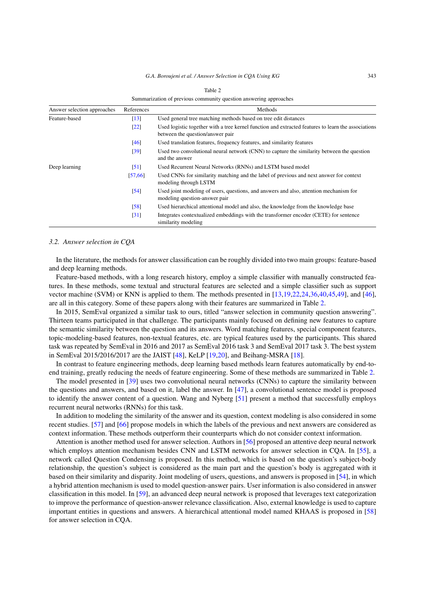| Summarization of previous community question answering approaches |                    |                                                                                                                                         |  |
|-------------------------------------------------------------------|--------------------|-----------------------------------------------------------------------------------------------------------------------------------------|--|
| Answer selection approaches                                       | References         | Methods                                                                                                                                 |  |
| Feature-based                                                     | $\lceil 13 \rceil$ | Used general tree matching methods based on tree edit distances                                                                         |  |
|                                                                   | $\lceil 22 \rceil$ | Used logistic together with a tree kernel function and extracted features to learn the associations<br>between the question/answer pair |  |
|                                                                   | [46]               | Used translation features, frequency features, and similarity features                                                                  |  |
|                                                                   | $\left[39\right]$  | Used two convolutional neural network (CNN) to capture the similarity between the question<br>and the answer                            |  |
| Deep learning                                                     | $\lceil 51 \rceil$ | Used Recurrent Neural Networks (RNNs) and LSTM based model                                                                              |  |
|                                                                   | [57, 66]           | Used CNNs for similarity matching and the label of previous and next answer for context<br>modeling through LSTM                        |  |
|                                                                   | $\left[54\right]$  | Used joint modeling of users, questions, and answers and also, attention mechanism for<br>modeling question-answer pair                 |  |
|                                                                   | [58]               | Used hierarchical attentional model and also, the knowledge from the knowledge base                                                     |  |
|                                                                   | $\lceil 31 \rceil$ | Integrates contextualized embeddings with the transformer encoder (CETE) for sentence<br>similarity modeling                            |  |

<span id="page-4-0"></span>Table 2

#### *3.2. Answer selection in CQA*

In the literature, the methods for answer classification can be roughly divided into two main groups: feature-based and deep learning methods.

Feature-based methods, with a long research history, employ a simple classifier with manually constructed features. In these methods, some textual and structural features are selected and a simple classifier such as support vector machine (SVM) or KNN is applied to them. The methods presented in [\[13](#page-15-7),[19](#page-15-8)[,22](#page-16-13),[24](#page-16-15)[,36,](#page-16-2)[40](#page-16-3),[45,](#page-17-14)[49](#page-17-15)], and [\[46\]](#page-17-11), are all in this category. Some of these papers along with their features are summarized in Table [2.](#page-4-0)

In 2015, SemEval organized a similar task to ours, titled "answer selection in community question answering". Thirteen teams participated in that challenge. The participants mainly focused on defining new features to capture the semantic similarity between the question and its answers. Word matching features, special component features, topic-modeling-based features, non-textual features, etc. are typical features used by the participants. This shared task was repeated by SemEval in 2016 and 2017 as SemEval 2016 task 3 and SemEval 2017 task 3. The best system in SemEval 2015/2016/2017 are the JAIST [\[48](#page-17-16)], KeLP [\[19](#page-15-8),[20\]](#page-16-16), and Beihang-MSRA [[18\]](#page-15-9).

In contrast to feature engineering methods, deep learning based methods learn features automatically by end-toend training, greatly reducing the needs of feature engineering. Some of these methods are summarized in Table [2](#page-4-0).

The model presented in [\[39](#page-16-4)] uses two convolutional neural networks (CNNs) to capture the similarity between the questions and answers, and based on it, label the answer. In [[47\]](#page-17-17), a convolutional sentence model is proposed to identify the answer content of a question. Wang and Nyberg [\[51](#page-17-7)] present a method that successfully employs recurrent neural networks (RNNs) for this task.

In addition to modeling the similarity of the answer and its question, context modeling is also considered in some recent studies. [\[57](#page-17-4)] and [\[66](#page-17-12)] propose models in which the labels of the previous and next answers are considered as context information. These methods outperform their counterparts which do not consider context information.

Attention is another method used for answer selection. Authors in [[56\]](#page-17-3) proposed an attentive deep neural network which employs attention mechanism besides CNN and LSTM networks for answer selection in COA. In [\[55](#page-17-18)], a network called Question Condensing is proposed. In this method, which is based on the question's subject-body relationship, the question's subject is considered as the main part and the question's body is aggregated with it based on their similarity and disparity. Joint modeling of users, questions, and answers is proposed in [\[54](#page-17-2)], in which a hybrid attention mechanism is used to model question-answer pairs. User information is also considered in answer classification in this model. In [\[59](#page-17-5)], an advanced deep neural network is proposed that leverages text categorization to improve the performance of question-answer relevance classification. Also, external knowledge is used to capture important entities in questions and answers. A hierarchical attentional model named KHAAS is proposed in [\[58](#page-17-13)] for answer selection in CQA.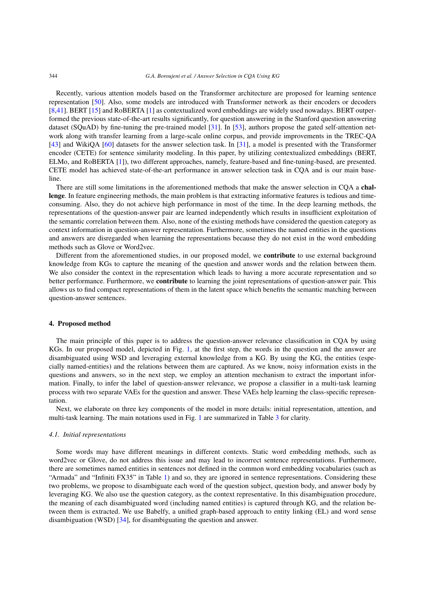Recently, various attention models based on the Transformer architecture are proposed for learning sentence representation [[50\]](#page-17-19). Also, some models are introduced with Transformer network as their encoders or decoders [[8](#page-15-10)[,41](#page-16-17)]. BERT [[15\]](#page-15-11) and RoBERTA [\[1](#page-15-12)] as contextualized word embeddings are widely used nowadays. BERT outperformed the previous state-of-the-art results significantly, for question answering in the Stanford question answering dataset (SQuAD) by fine-tuning the pre-trained model [\[31](#page-16-14)]. In [\[53](#page-17-20)], authors propose the gated self-attention network along with transfer learning from a large-scale online corpus, and provide improvements in the TREC-QA [[43\]](#page-16-18) and WikiQA [\[60](#page-17-21)] datasets for the answer selection task. In [[31\]](#page-16-14), a model is presented with the Transformer encoder (CETE) for sentence similarity modeling. In this paper, by utilizing contextualized embeddings (BERT, ELMo, and RoBERTA [\[1](#page-15-12)]), two different approaches, namely, feature-based and fine-tuning-based, are presented. CETE model has achieved state-of-the-art performance in answer selection task in CQA and is our main baseline.

There are still some limitations in the aforementioned methods that make the answer selection in CQA a **challenge**. In feature engineering methods, the main problem is that extracting informative features is tedious and timeconsuming. Also, they do not achieve high performance in most of the time. In the deep learning methods, the representations of the question-answer pair are learned independently which results in insufficient exploitation of the semantic correlation between them. Also, none of the existing methods have considered the question category as context information in question-answer representation. Furthermore, sometimes the named entities in the questions and answers are disregarded when learning the representations because they do not exist in the word embedding methods such as Glove or Word2vec.

Different from the aforementioned studies, in our proposed model, we **contribute** to use external background knowledge from KGs to capture the meaning of the question and answer words and the relation between them. We also consider the context in the representation which leads to having a more accurate representation and so better performance. Furthermore, we **contribute** to learning the joint representations of question-answer pair. This allows us to find compact representations of them in the latent space which benefits the semantic matching between question-answer sentences.

#### <span id="page-5-0"></span>**4. Proposed method**

The main principle of this paper is to address the question-answer relevance classification in CQA by using KGs. In our proposed model, depicted in Fig. [1](#page-6-0), at the first step, the words in the question and the answer are disambiguated using WSD and leveraging external knowledge from a KG. By using the KG, the entities (especially named-entities) and the relations between them are captured. As we know, noisy information exists in the questions and answers, so in the next step, we employ an attention mechanism to extract the important information. Finally, to infer the label of question-answer relevance, we propose a classifier in a multi-task learning process with two separate VAEs for the question and answer. These VAEs help learning the class-specific representation.

Next, we elaborate on three key components of the model in more details: initial representation, attention, and multi-task learning. The main notations used in Fig. [1](#page-6-0) are summarized in Table [3](#page-6-1) for clarity.

## *4.1. Initial representations*

Some words may have different meanings in different contexts. Static word embedding methods, such as word2vec or Glove, do not address this issue and may lead to incorrect sentence representations. Furthermore, there are sometimes named entities in sentences not defined in the common word embedding vocabularies (such as "Armada" and "Infiniti FX35" in Table [1](#page-1-0)) and so, they are ignored in sentence representations. Considering these two problems, we propose to disambiguate each word of the question subject, question body, and answer body by leveraging KG. We also use the question category, as the context representative. In this disambiguation procedure, the meaning of each disambiguated word (including named entities) is captured through KG, and the relation between them is extracted. We use Babelfy, a unified graph-based approach to entity linking (EL) and word sense disambiguation (WSD) [\[34\]](#page-16-19), for disambiguating the question and answer.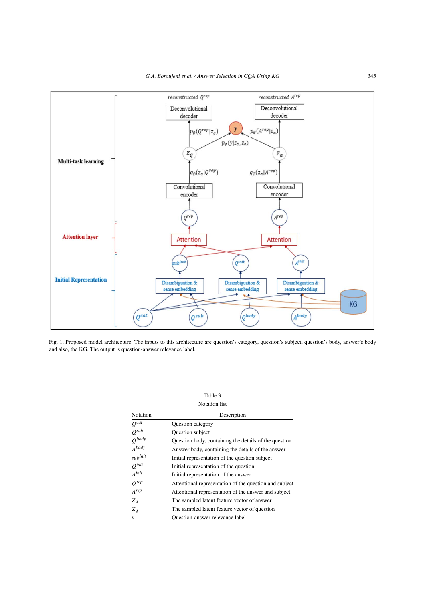

<span id="page-6-0"></span>Fig. 1. Proposed model architecture. The inputs to this architecture are question's category, question's subject, question's body, answer's body and also, the KG. The output is question-answer relevance label.

<span id="page-6-1"></span>

| Table 3              |                                                        |  |  |
|----------------------|--------------------------------------------------------|--|--|
| <b>Notation</b> list |                                                        |  |  |
| Notation             | Description                                            |  |  |
| $O^{cat}$            | Question category                                      |  |  |
| $Q^{sub}$            | Question subject                                       |  |  |
| $Q^{body}$           | Question body, containing the details of the question  |  |  |
| A <sup>body</sup>    | Answer body, containing the details of the answer      |  |  |
| sub <sup>init</sup>  | Initial representation of the question subject         |  |  |
| $Q^{init}$           | Initial representation of the question                 |  |  |
| $A^{init}$           | Initial representation of the answer                   |  |  |
| $O^{rep}$            | Attentional representation of the question and subject |  |  |
| $A^{rep}$            | Attentional representation of the answer and subject   |  |  |
| $Z_a$                | The sampled latent feature vector of answer            |  |  |
| $Z_a$                | The sampled latent feature vector of question          |  |  |
| y                    | Question-answer relevance label                        |  |  |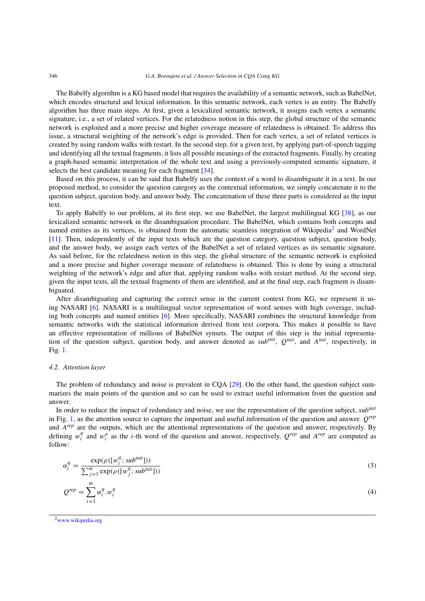The Babelfy algorithm is a KG based model that requires the availability of a semantic network, such as BabelNet, which encodes structural and lexical information. In this semantic network, each vertex is an entity. The Babelfy algorithm has three main steps. At first, given a lexicalized semantic network, it assigns each vertex a semantic signature, i.e., a set of related vertices. For the relatedness notion in this step, the global structure of the semantic network is exploited and a more precise and higher coverage measure of relatedness is obtained. To address this issue, a structural weighting of the network's edge is provided. Then for each vertex, a set of related vertices is created by using random walks with restart. In the second step, for a given text, by applying part-of-speech tagging and identifying all the textual fragments, it lists all possible meanings of the extracted fragments. Finally, by creating a graph-based semantic interpretation of the whole text and using a previously-computed semantic signature, it selects the best candidate meaning for each fragment [[34\]](#page-16-19).

Based on this process, it can be said that Babelfy uses the context of a word to disambiguate it in a text. In our proposed method, to consider the question category as the contextual information, we simply concatenate it to the question subject, question body, and answer body. The concatenation of these three parts is considered as the input text.

To apply Babelfy to our problem, at its first step, we use BabelNet, the largest multilingual KG [\[38](#page-16-0)], as our lexicalized semantic network in the disambiguation procedure. The BabelNet, which contains both concepts and named entities as its vertices, is obtained from the automatic seamless integration of Wikipedia<sup>2</sup> and WordNet [[11\]](#page-15-13). Then, independently of the input texts which are the question category, question subject, question body, and the answer body, we assign each vertex of the BabelNet a set of related vertices as its semantic signature. As said before, for the relatedness notion in this step, the global structure of the semantic network is exploited and a more precise and higher coverage measure of relatedness is obtained. This is done by using a structural weighting of the network's edge and after that, applying random walks with restart method. At the second step, given the input texts, all the textual fragments of them are identified, and at the final step, each fragment is disambiguated.

After disambiguating and capturing the correct sense in the current context from KG, we represent it using NASARI [\[6](#page-15-14)]. NASARI is a multilingual vector representation of word senses with high coverage, including both concepts and named entities [\[6](#page-15-14)]. More specifically, NASARI combines the structural knowledge from semantic networks with the statistical information derived from text corpora. This makes it possible to have an effective representation of millions of BabelNet synsets. The output of this step is the initial representation of the question subject, question body, and answer denoted as *subinit*, *Qinit*, and *Ainit*, respectively, in Fig. [1.](#page-6-0)

#### *4.2. Attention layer*

The problem of redundancy and noise is prevalent in CQA [\[29\]](#page-16-20). On the other hand, the question subject summarizes the main points of the question and so can be used to extract useful information from the question and answer.

In order to reduce the impact of redundancy and noise, we use the representation of the question subject, *subinit* in Fig. [1,](#page-6-0) as the attention source to capture the important and useful information of the question and answer. *Qrep* and *Arep* are the outputs, which are the attentional representations of the question and answer, respectively. By defining  $w_i^q$  and  $w_i^q$  as the *i*-th word of the question and answer, respectively,  $Q^{rep}$  and  $A^{rep}$  are computed as follow:

$$
\alpha_i^q = \frac{\exp(\rho([w_i^q; sub^{init}]))}{\sum_{j=1}^m \exp(\rho([w_j^q; sub^{init}]))}
$$
\n(3)

$$
Q^{rep} = \sum_{i=1}^{m} \alpha_i^q w_i^q \tag{4}
$$

<span id="page-7-0"></span>2[www.wikipedia.org](http://www.wikipedia.org)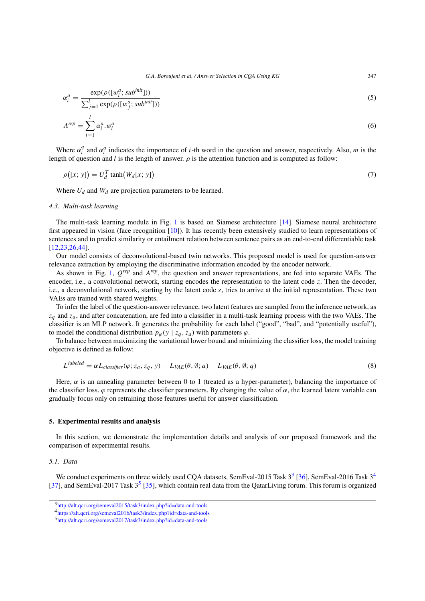$$
\alpha_i^a = \frac{\exp(\rho([w_i^a; sub^{init}]))}{\sum_{j=1}^l \exp(\rho([w_j^a; sub^{init}]))}
$$
\n(5)

$$
A^{rep} = \sum_{i=1}^{l} \alpha_i^a w_i^a \tag{6}
$$

Where  $\alpha_i^q$  and  $\alpha_i^a$  indicates the importance of *i*-th word in the question and answer, respectively. Also, *m* is the length of question and *l* is the length of answer. *ρ* is the attention function and is computed as follow:

$$
\rho([x; y]) = U_d^T \tanh(W_d[x; y]) \tag{7}
$$

Where  $U_d$  and  $W_d$  are projection parameters to be learned.

## *4.3. Multi-task learning*

The multi-task learning module in Fig. [1](#page-6-0) is based on Siamese architecture [\[14](#page-15-15)]. Siamese neural architecture first appeared in vision (face recognition [\[10](#page-15-16)]). It has recently been extensively studied to learn representations of sentences and to predict similarity or entailment relation between sentence pairs as an end-to-end differentiable task [[12](#page-15-17)[,23](#page-16-21),[26](#page-16-22)[,44](#page-16-23)].

Our model consists of deconvolutional-based twin networks. This proposed model is used for question-answer relevance extraction by employing the discriminative information encoded by the encoder network.

As shown in Fig. [1,](#page-6-0) *Qrep* and *Arep*, the question and answer representations, are fed into separate VAEs. The encoder, i.e., a convolutional network, starting encodes the representation to the latent code *z*. Then the decoder, i.e., a deconvolutional network, starting by the latent code z, tries to arrive at the initial representation. These two VAEs are trained with shared weights.

To infer the label of the question-answer relevance, two latent features are sampled from the inference network, as *zq* and *za*, and after concatenation, are fed into a classifier in a multi-task learning process with the two VAEs. The classifier is an MLP network. It generates the probability for each label ("good", "bad", and "potentially useful"), to model the conditional distribution  $p_{\varphi}(y \mid z_q, z_a)$  with parameters  $\varphi$ .

To balance between maximizing the variational lower bound and minimizing the classifier loss, the model training objective is defined as follow:

$$
L^{labeled} = \alpha L_{\text{classify}}(\varphi; z_a, z_q, y) - L_{\text{VAE}}(\theta, \emptyset; a) - L_{\text{VAE}}(\theta, \emptyset; q)
$$
\n
$$
(8)
$$

Here, *α* is an annealing parameter between 0 to 1 (treated as a hyper-parameter), balancing the importance of the classifier loss.  $\varphi$  represents the classifier parameters. By changing the value of  $\alpha$ , the learned latent variable can gradually focus only on retraining those features useful for answer classification.

#### <span id="page-8-0"></span>**5. Experimental results and analysis**

In this section, we demonstrate the implementation details and analysis of our proposed framework and the comparison of experimental results.

#### *5.1. Data*

We conduct experiments on three widely used CQA datasets, SemEval-2015 Task  $3<sup>3</sup>$  [[36\]](#page-16-2), SemEval-2016 Task  $3<sup>4</sup>$  $3<sup>4</sup>$  $3<sup>4</sup>$ [[37\]](#page-16-7), and SemEval-2017 Task  $3^5$  $3^5$  [\[35\]](#page-16-8), which contain real data from the QatarLiving forum. This forum is organized

<span id="page-8-1"></span><sup>3</sup><http://alt.qcri.org/semeval2015/task3/index.php?id=data-and-tools>

<span id="page-8-2"></span><sup>4</sup><https://alt.qcri.org/semeval2016/task3/index.php?id=data-and-tools>

<span id="page-8-3"></span><sup>5</sup><http://alt.qcri.org/semeval2017/task3/index.php?id=data-and-tools>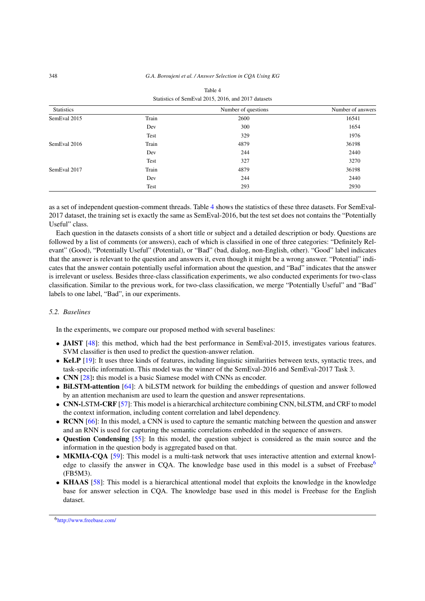| <b>Statistics</b> |       | Number of questions | Number of answers |
|-------------------|-------|---------------------|-------------------|
| SemEval 2015      | Train | 2600                | 16541             |
|                   | Dev   | 300                 | 1654              |
|                   | Test  | 329                 | 1976              |
| SemEval 2016      | Train | 4879                | 36198             |
|                   | Dev   | 244                 | 2440              |
|                   | Test  | 327                 | 3270              |
| SemEval 2017      | Train | 4879                | 36198             |
|                   | Dev   | 244                 | 2440              |
|                   | Test  | 293                 | 2930              |

<span id="page-9-0"></span>

| Table 4                                             |  |
|-----------------------------------------------------|--|
| Statistics of SemEval 2015, 2016, and 2017 datasets |  |

as a set of independent question-comment threads. Table [4](#page-9-0) shows the statistics of these three datasets. For SemEval-2017 dataset, the training set is exactly the same as SemEval-2016, but the test set does not contains the "Potentially Useful" class.

Each question in the datasets consists of a short title or subject and a detailed description or body. Questions are followed by a list of comments (or answers), each of which is classified in one of three categories: "Definitely Relevant" (Good), "Potentially Useful" (Potential), or "Bad" (bad, dialog, non-English, other). "Good" label indicates that the answer is relevant to the question and answers it, even though it might be a wrong answer. "Potential" indicates that the answer contain potentially useful information about the question, and "Bad" indicates that the answer is irrelevant or useless. Besides three-class classification experiments, we also conducted experiments for two-class classification. Similar to the previous work, for two-class classification, we merge "Potentially Useful" and "Bad" labels to one label, "Bad", in our experiments.

## *5.2. Baselines*

In the experiments, we compare our proposed method with several baselines:

- **JAIST** [\[48](#page-17-16)]: this method, which had the best performance in SemEval-2015, investigates various features. SVM classifier is then used to predict the question-answer relation.
- KeLP [\[19](#page-15-8)]: It uses three kinds of features, including linguistic similarities between texts, syntactic trees, and task-specific information. This model was the winner of the SemEval-2016 and SemEval-2017 Task 3.
- **CNN** [[28\]](#page-16-24)**:** this model is a basic Siamese model with CNNs as encoder.
- **BiLSTM-attention** [\[64](#page-17-6)]: A biLSTM network for building the embeddings of question and answer followed by an attention mechanism are used to learn the question and answer representations.
- **CNN-**LSTM**-CRF** [[57\]](#page-17-4): This model is a hierarchical architecture combining CNN, biLSTM, and CRF to model the context information, including content correlation and label dependency.
- **RCNN** [\[66](#page-17-12)]: In this model, a CNN is used to capture the semantic matching between the question and answer and an RNN is used for capturing the semantic correlations embedded in the sequence of answers.
- **Question Condensing** [\[55](#page-17-18)]: In this model, the question subject is considered as the main source and the information in the question body is aggregated based on that.
- **MKMIA-CQA** [\[59](#page-17-5)]: This model is a multi-task network that uses interactive attention and external knowledge to classify the answer in CQA. The knowledge base used in this model is a subset of Freebase<sup>6</sup> (FB5M3).
- <span id="page-9-1"></span>• **KHAAS** [\[58\]](#page-17-13): This model is a hierarchical attentional model that exploits the knowledge in the knowledge base for answer selection in CQA. The knowledge base used in this model is Freebase for the English dataset.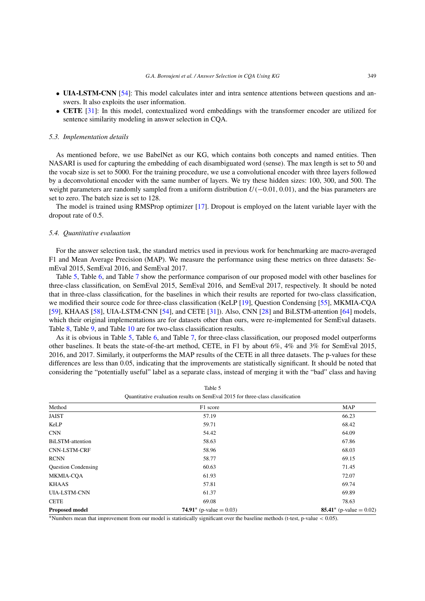- **UIA-LSTM-CNN** [\[54\]](#page-17-2): This model calculates inter and intra sentence attentions between questions and answers. It also exploits the user information.
- **CETE** [[31\]](#page-16-14): In this model, contextualized word embeddings with the transformer encoder are utilized for sentence similarity modeling in answer selection in CQA.

#### *5.3. Implementation details*

As mentioned before, we use BabelNet as our KG, which contains both concepts and named entities. Then NASARI is used for capturing the embedding of each disambiguated word (sense). The max length is set to 50 and the vocab size is set to 5000. For the training procedure, we use a convolutional encoder with three layers followed by a deconvolutional encoder with the same number of layers. We try these hidden sizes: 100, 300, and 500. The weight parameters are randomly sampled from a uniform distribution *U (*−0*.*01*,* 0*.*01*)*, and the bias parameters are set to zero. The batch size is set to 128.

The model is trained using RMSProp optimizer [[17\]](#page-15-18). Dropout is employed on the latent variable layer with the dropout rate of 0.5.

# *5.4. Quantitative evaluation*

For the answer selection task, the standard metrics used in previous work for benchmarking are macro-averaged F1 and Mean Average Precision (MAP). We measure the performance using these metrics on three datasets: SemEval 2015, SemEval 2016, and SemEval 2017.

Table [5](#page-10-0), Table [6,](#page-11-0) and Table [7](#page-11-1) show the performance comparison of our proposed model with other baselines for three-class classification, on SemEval 2015, SemEval 2016, and SemEval 2017, respectively. It should be noted that in three-class classification, for the baselines in which their results are reported for two-class classification, we modified their source code for three-class classification (KeLP [\[19](#page-15-8)], Question Condensing [[55\]](#page-17-18), MKMIA-CQA [[59\]](#page-17-5), KHAAS [\[58\]](#page-17-13), UIA-LSTM-CNN [\[54\]](#page-17-2), and CETE [\[31](#page-16-14)]). Also, CNN [\[28](#page-16-24)] and BiLSTM-attention [\[64](#page-17-6)] models, which their original implementations are for datasets other than ours, were re-implemented for SemEval datasets. Table [8,](#page-11-2) Table [9](#page-12-0), and Table [10](#page-12-1) are for two-class classification results.

As it is obvious in Table [5,](#page-10-0) Table [6,](#page-11-0) and Table [7](#page-11-1), for three-class classification, our proposed model outperforms other baselines. It beats the state-of-the-art method, CETE, in F1 by about 6%, 4% and 3% for SemEval 2015, 2016, and 2017. Similarly, it outperforms the MAP results of the CETE in all three datasets. The p-values for these differences are less than 0.05, indicating that the improvements are statistically significant. It should be noted that considering the "potentially useful" label as a separate class, instead of merging it with the "bad" class and having

| Quantitative evaluation results on Schillval 2015 for time crass classification |                            |                            |  |
|---------------------------------------------------------------------------------|----------------------------|----------------------------|--|
| Method                                                                          | F1 score                   | <b>MAP</b>                 |  |
| <b>JAIST</b>                                                                    | 57.19                      | 66.23                      |  |
| KeLP                                                                            | 59.71                      | 68.42                      |  |
| <b>CNN</b>                                                                      | 54.42                      | 64.09                      |  |
| <b>BiLSTM-attention</b>                                                         | 58.63                      | 67.86                      |  |
| <b>CNN-LSTM-CRF</b>                                                             | 58.96                      | 68.03                      |  |
| <b>RCNN</b>                                                                     | 58.77                      | 69.15                      |  |
| <b>Question Condensing</b>                                                      | 60.63                      | 71.45                      |  |
| <b>MKMIA-COA</b>                                                                | 61.93                      | 72.07                      |  |
| <b>KHAAS</b>                                                                    | 57.81                      | 69.74                      |  |
| <b>UIA-LSTM-CNN</b>                                                             | 61.37                      | 69.89                      |  |
| <b>CETE</b>                                                                     | 69.08                      | 78.63                      |  |
| <b>Proposed model</b>                                                           | 74.91* (p-value = $0.03$ ) | 85.41* (p-value = $0.02$ ) |  |

<span id="page-10-0"></span>

| Table 5                                                                        |
|--------------------------------------------------------------------------------|
| Quantitative evaluation results on SemEval 2015 for three-class classification |

∗Numbers mean that improvement from our model is statistically significant over the baseline methods (t-test, p-value *<* 0.05).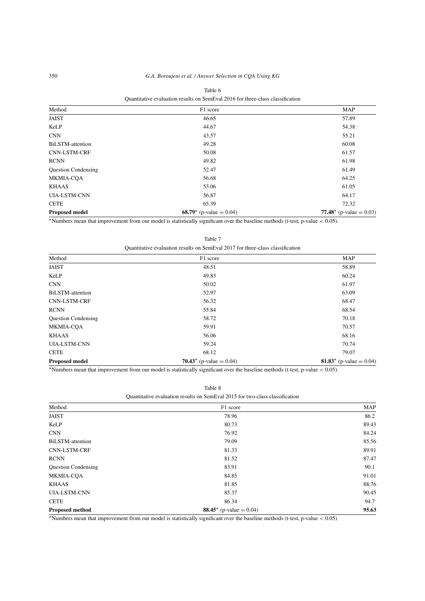| Method                     | F1 score                   | <b>MAP</b>                 |
|----------------------------|----------------------------|----------------------------|
| <b>JAIST</b>               | 46.65                      | 57.89                      |
| KeLP                       | 44.67                      | 54.38                      |
| <b>CNN</b>                 | 43.57                      | 55.21                      |
| BiLSTM-attention           | 49.28                      | 60.08                      |
| <b>CNN-LSTM-CRF</b>        | 50.08                      | 61.57                      |
| <b>RCNN</b>                | 49.82                      | 61.98                      |
| <b>Question Condensing</b> | 52.47                      | 61.49                      |
| <b>MKMIA-CQA</b>           | 56.68                      | 64.25                      |
| <b>KHAAS</b>               | 53.06                      | 61.05                      |
| <b>UIA-LSTM-CNN</b>        | 56.87                      | 64.17                      |
| <b>CETE</b>                | 65.39                      | 72.32                      |
| <b>Proposed model</b>      | 68.79* (p-value = $0.04$ ) | 77.48* (p-value = $0.03$ ) |

## <span id="page-11-0"></span>Table 6 Quantitative evaluation results on SemEval 2016 for three-class classification

∗Numbers mean that improvement from our model is statistically significant over the baseline methods (t-test, p-value *<* 0.05).

Table 7

<span id="page-11-1"></span>Quantitative evaluation results on SemEval 2017 for three-class classification

| Method                     | F1 score                   | <b>MAP</b>                 |
|----------------------------|----------------------------|----------------------------|
| <b>JAIST</b>               | 48.51                      | 58.89                      |
| KeLP                       | 49.83                      | 60.24                      |
| <b>CNN</b>                 | 50.02                      | 61.97                      |
| BiLSTM-attention           | 52.97                      | 63.09                      |
| <b>CNN-LSTM-CRF</b>        | 56.32                      | 68.47                      |
| <b>RCNN</b>                | 55.84                      | 68.54                      |
| <b>Question Condensing</b> | 58.72                      | 70.18                      |
| <b>MKMIA-COA</b>           | 59.91                      | 70.57                      |
| <b>KHAAS</b>               | 56.06                      | 68.16                      |
| <b>UIA-LSTM-CNN</b>        | 59.24                      | 70.74                      |
| <b>CETE</b>                | 68.12                      | 79.07                      |
| <b>Proposed model</b>      | 70.43* (p-value = $0.04$ ) | 81.83* (p-value = $0.04$ ) |

∗Numbers mean that improvement from our model is statistically significant over the baseline methods (t-test, p-value *<* 0.05).

Table 8

<span id="page-11-2"></span>

| Method                     | F1 score                        | <b>MAP</b> |
|----------------------------|---------------------------------|------------|
| <b>JAIST</b>               | 78.96                           | 86.2       |
| KeLP                       | 80.73                           | 89.43      |
| <b>CNN</b>                 | 76.92                           | 84.24      |
| BiLSTM-attention           | 79.09                           | 85.56      |
| <b>CNN-LSTM-CRF</b>        | 81.33                           | 89.91      |
| <b>RCNN</b>                | 81.52                           | 87.47      |
| <b>Question Condensing</b> | 83.91                           | 90.1       |
| MKMIA-COA                  | 84.85                           | 91.01      |
| <b>KHAAS</b>               | 81.85                           | 88.76      |
| <b>UIA-LSTM-CNN</b>        | 85.37                           | 90.45      |
| <b>CETE</b>                | 86.34                           | 94.7       |
| <b>Proposed method</b>     | <b>88.45</b> * (p-value = 0.04) | 95.63      |

∗Numbers mean that improvement from our model is statistically significant over the baseline methods (t-test, p-value *<* 0.05).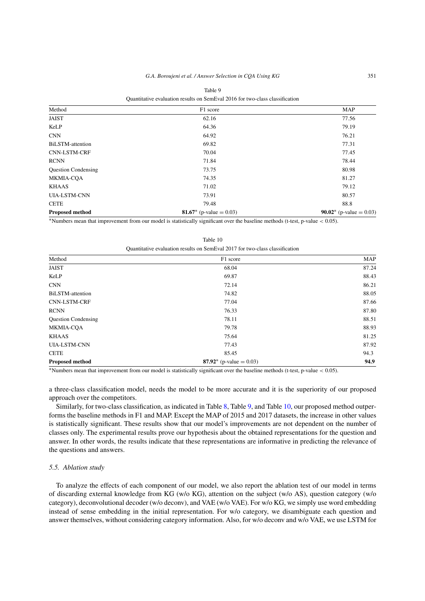| Method                     | F1 score                   | <b>MAP</b>                      |
|----------------------------|----------------------------|---------------------------------|
| <b>JAIST</b>               | 62.16                      | 77.56                           |
| KeLP                       | 64.36                      | 79.19                           |
| <b>CNN</b>                 | 64.92                      | 76.21                           |
| <b>BiLSTM-attention</b>    | 69.82                      | 77.31                           |
| <b>CNN-LSTM-CRF</b>        | 70.04                      | 77.45                           |
| <b>RCNN</b>                | 71.84                      | 78.44                           |
| <b>Question Condensing</b> | 73.75                      | 80.98                           |
| MKMIA-COA                  | 74.35                      | 81.27                           |
| <b>KHAAS</b>               | 71.02                      | 79.12                           |
| <b>UIA-LSTM-CNN</b>        | 73.91                      | 80.57                           |
| <b>CETE</b>                | 79.48                      | 88.8                            |
| <b>Proposed method</b>     | 81.67* (p-value = $0.03$ ) | <b>90.02</b> * (p-value = 0.03) |

<span id="page-12-0"></span>Table 9  $\frac{1}{2}$ 

∗Numbers mean that improvement from our model is statistically significant over the baseline methods (t-test, p-value *<* 0.05).

| Quantitative evaluation results on SemEval 2017 for two-class classification |                            |            |  |  |  |
|------------------------------------------------------------------------------|----------------------------|------------|--|--|--|
| Method                                                                       | F1 score                   | <b>MAP</b> |  |  |  |
| JAIST                                                                        | 68.04                      | 87.24      |  |  |  |
| KeLP                                                                         | 69.87                      | 88.43      |  |  |  |
| <b>CNN</b>                                                                   | 72.14                      | 86.21      |  |  |  |
| <b>BiLSTM-attention</b>                                                      | 74.82                      | 88.05      |  |  |  |
| <b>CNN-LSTM-CRF</b>                                                          | 77.04                      | 87.66      |  |  |  |
| <b>RCNN</b>                                                                  | 76.33                      | 87.80      |  |  |  |
| <b>Question Condensing</b>                                                   | 78.11                      | 88.51      |  |  |  |
| <b>MKMIA-CQA</b>                                                             | 79.78                      | 88.93      |  |  |  |
| <b>KHAAS</b>                                                                 | 75.64                      | 81.25      |  |  |  |
| <b>UIA-LSTM-CNN</b>                                                          | 77.43                      | 87.92      |  |  |  |
| <b>CETE</b>                                                                  | 85.45                      | 94.3       |  |  |  |
| Proposed method                                                              | 87.92* (p-value = $0.03$ ) | 94.9       |  |  |  |

<span id="page-12-1"></span>Table 10

∗Numbers mean that improvement from our model is statistically significant over the baseline methods (t-test, p-value *<* 0.05).

a three-class classification model, needs the model to be more accurate and it is the superiority of our proposed approach over the competitors.

Similarly, for two-class classification, as indicated in Table [8](#page-11-2), Table [9,](#page-12-0) and Table [10](#page-12-1), our proposed method outperforms the baseline methods in F1 and MAP. Except the MAP of 2015 and 2017 datasets, the increase in other values is statistically significant. These results show that our model's improvements are not dependent on the number of classes only. The experimental results prove our hypothesis about the obtained representations for the question and answer. In other words, the results indicate that these representations are informative in predicting the relevance of the questions and answers.

## *5.5. Ablation study*

To analyze the effects of each component of our model, we also report the ablation test of our model in terms of discarding external knowledge from KG (w/o KG), attention on the subject (w/o AS), question category (w/o category), deconvolutional decoder (w/o deconv), and VAE (w/o VAE). For w/o KG, we simply use word embedding instead of sense embedding in the initial representation. For w/o category, we disambiguate each question and answer themselves, without considering category information. Also, for w/o deconv and w/o VAE, we use LSTM for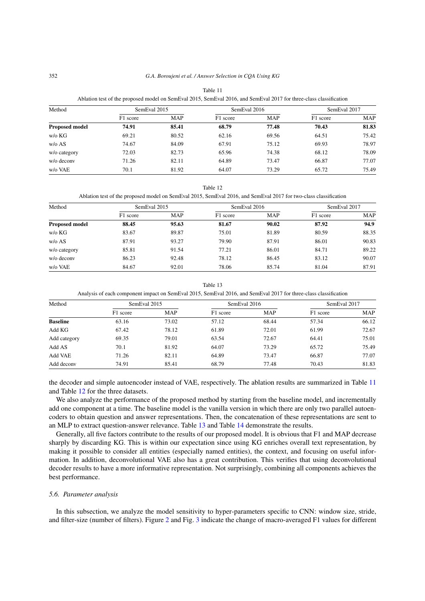| Method                | SemEval 2015 |            | SemEval 2016 |            | SemEval 2017 |            |
|-----------------------|--------------|------------|--------------|------------|--------------|------------|
|                       | F1 score     | <b>MAP</b> | F1 score     | <b>MAP</b> | F1 score     | <b>MAP</b> |
| <b>Proposed model</b> | 74.91        | 85.41      | 68.79        | 77.48      | 70.43        | 81.83      |
| w/o KG                | 69.21        | 80.52      | 62.16        | 69.56      | 64.51        | 75.42      |
| w/o AS                | 74.67        | 84.09      | 67.91        | 75.12      | 69.93        | 78.97      |
| w/o category          | 72.03        | 82.73      | 65.96        | 74.38      | 68.12        | 78.09      |
| w/o decony            | 71.26        | 82.11      | 64.89        | 73.47      | 66.87        | 77.07      |
| w/o VAE               | 70.1         | 81.92      | 64.07        | 73.29      | 65.72        | 75.49      |

<span id="page-13-0"></span>Table 11 Ablation test of the proposed model on SemEval 2015, SemEval 2016, and SemEval 2017 for three-class classification

Table 12

<span id="page-13-1"></span>Ablation test of the proposed model on SemEval 2015, SemEval 2016, and SemEval 2017 for two-class classification

| Method                | SemEval 2015 |            | SemEval 2016 |            | SemEval 2017 |            |
|-----------------------|--------------|------------|--------------|------------|--------------|------------|
|                       | F1 score     | <b>MAP</b> | F1 score     | <b>MAP</b> | F1 score     | <b>MAP</b> |
| <b>Proposed model</b> | 88.45        | 95.63      | 81.67        | 90.02      | 87.92        | 94.9       |
| w/o KG                | 83.67        | 89.87      | 75.01        | 81.89      | 80.59        | 88.35      |
| w/o AS                | 87.91        | 93.27      | 79.90        | 87.91      | 86.01        | 90.83      |
| w/o category          | 85.81        | 91.54      | 77.21        | 86.01      | 84.71        | 89.22      |
| w/o deconv            | 86.23        | 92.48      | 78.12        | 86.45      | 83.12        | 90.07      |
| w/o VAE               | 84.67        | 92.01      | 78.06        | 85.74      | 81.04        | 87.91      |

Table 13

<span id="page-13-2"></span>Analysis of each component impact on SemEval 2015, SemEval 2016, and SemEval 2017 for three-class classification

| Method          | SemEval 2015 |            | SemEval 2016 |            | SemEval 2017 |            |
|-----------------|--------------|------------|--------------|------------|--------------|------------|
|                 | F1 score     | <b>MAP</b> | F1 score     | <b>MAP</b> | F1 score     | <b>MAP</b> |
| <b>Baseline</b> | 63.16        | 73.02      | 57.12        | 68.44      | 57.34        | 66.12      |
| Add KG          | 67.42        | 78.12      | 61.89        | 72.01      | 61.99        | 72.67      |
| Add category    | 69.35        | 79.01      | 63.54        | 72.67      | 64.41        | 75.01      |
| Add AS          | 70.1         | 81.92      | 64.07        | 73.29      | 65.72        | 75.49      |
| Add VAE         | 71.26        | 82.11      | 64.89        | 73.47      | 66.87        | 77.07      |
| Add deconv      | 74.91        | 85.41      | 68.79        | 77.48      | 70.43        | 81.83      |

the decoder and simple autoencoder instead of VAE, respectively. The ablation results are summarized in Table [11](#page-13-0) and Table [12](#page-13-1) for the three datasets.

We also analyze the performance of the proposed method by starting from the baseline model, and incrementally add one component at a time. The baseline model is the vanilla version in which there are only two parallel autoencoders to obtain question and answer representations. Then, the concatenation of these representations are sent to an MLP to extract question-answer relevance. Table [13](#page-13-2) and Table [14](#page-14-1) demonstrate the results.

Generally, all five factors contribute to the results of our proposed model. It is obvious that F1 and MAP decrease sharply by discarding KG. This is within our expectation since using KG enriches overall text representation, by making it possible to consider all entities (especially named entities), the context, and focusing on useful information. In addition, deconvolutional VAE also has a great contribution. This verifies that using deconvolutional decoder results to have a more informative representation. Not surprisingly, combining all components achieves the best performance.

#### *5.6. Parameter analysis*

In this subsection, we analyze the model sensitivity to hyper-parameters specific to CNN: window size, stride, and filter-size (number of filters). Figure [2](#page-14-2) and Fig. [3](#page-14-3) indicate the change of macro-averaged F1 values for different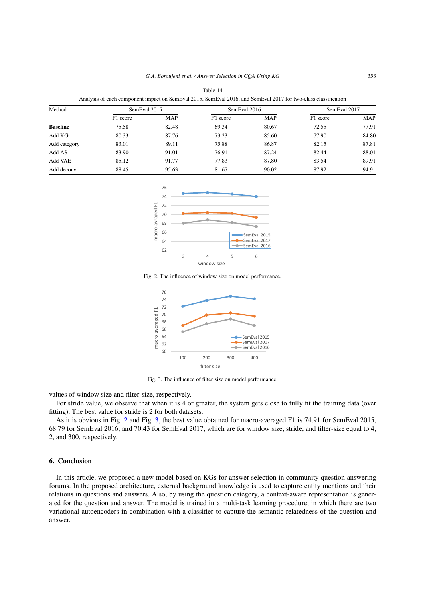<span id="page-14-1"></span>

| Analysis of each component impact on SemEval 2015, SemEval 2016, and SemEval 2017 for two-class classification |              |       |              |            |              |            |
|----------------------------------------------------------------------------------------------------------------|--------------|-------|--------------|------------|--------------|------------|
| Method                                                                                                         | SemEval 2015 |       | SemEval 2016 |            | SemEval 2017 |            |
|                                                                                                                | F1 score     | MAP   | F1 score     | <b>MAP</b> | F1 score     | <b>MAP</b> |
| <b>Baseline</b>                                                                                                | 75.58        | 82.48 | 69.34        | 80.67      | 72.55        | 77.91      |
| Add KG                                                                                                         | 80.33        | 87.76 | 73.23        | 85.60      | 77.90        | 84.80      |
| Add category                                                                                                   | 83.01        | 89.11 | 75.88        | 86.87      | 82.15        | 87.81      |
| Add AS                                                                                                         | 83.90        | 91.01 | 76.91        | 87.24      | 82.44        | 88.01      |
| Add VAE                                                                                                        | 85.12        | 91.77 | 77.83        | 87.80      | 83.54        | 89.91      |
| Add deconv                                                                                                     | 88.45        | 95.63 | 81.67        | 90.02      | 87.92        | 94.9       |



Fig. 2. The influence of window size on model performance.

<span id="page-14-2"></span>

<span id="page-14-3"></span>Fig. 3. The influence of filter size on model performance.

values of window size and filter-size, respectively.

For stride value, we observe that when it is 4 or greater, the system gets close to fully fit the training data (over fitting). The best value for stride is 2 for both datasets.

As it is obvious in Fig. [2](#page-14-2) and Fig. [3](#page-14-3), the best value obtained for macro-averaged F1 is 74.91 for SemEval 2015, 68.79 for SemEval 2016, and 70.43 for SemEval 2017, which are for window size, stride, and filter-size equal to 4, 2, and 300, respectively.

# <span id="page-14-0"></span>**6. Conclusion**

In this article, we proposed a new model based on KGs for answer selection in community question answering forums. In the proposed architecture, external background knowledge is used to capture entity mentions and their relations in questions and answers. Also, by using the question category, a context-aware representation is generated for the question and answer. The model is trained in a multi-task learning procedure, in which there are two variational autoencoders in combination with a classifier to capture the semantic relatedness of the question and answer.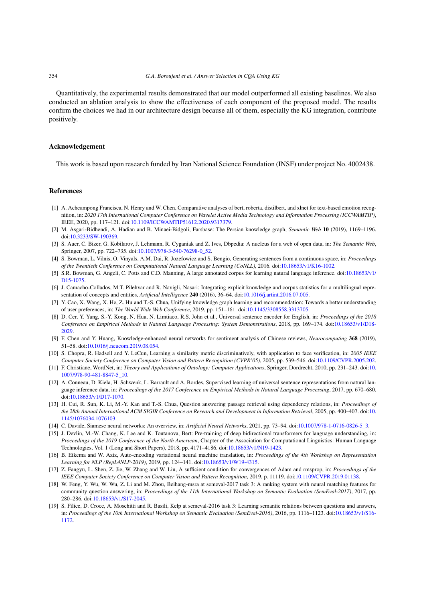Quantitatively, the experimental results demonstrated that our model outperformed all existing baselines. We also conducted an ablation analysis to show the effectiveness of each component of the proposed model. The results confirm the choices we had in our architecture design because all of them, especially the KG integration, contribute positively.

### **Acknowledgement**

This work is based upon research funded by Iran National Science Foundation (INSF) under project No. 4002438.

#### **References**

- <span id="page-15-12"></span>[1] A. Acheampong Francisca, N. Henry and W. Chen, Comparative analyses of bert, roberta, distilbert, and xlnet for text-based emotion recognition, in: *2020 17th International Computer Conference on Wavelet Active Media Technology and Information Processing (ICCWAMTIP)*, IEEE, 2020, pp. 117–121. doi[:10.1109/ICCWAMTIP51612.2020.9317379.](https://doi.org/10.1109/ICCWAMTIP51612.2020.9317379)
- <span id="page-15-6"></span>[2] M. Asgari-Bidhendi, A. Hadian and B. Minaei-Bidgoli, Farsbase: The Persian knowledge graph, *Semantic Web* **10** (2019), 1169–1196. doi[:10.3233/SW-190369](https://doi.org/10.3233/SW-190369).
- <span id="page-15-0"></span>[3] S. Auer, C. Bizer, G. Kobilarov, J. Lehmann, R. Cyganiak and Z. Ives, Dbpedia: A nucleus for a web of open data, in: *The Semantic Web*, Springer, 2007, pp. 722–735. doi[:10.1007/978-3-540-76298-0\\_52](https://doi.org/10.1007/978-3-540-76298-0_52).
- <span id="page-15-3"></span>[4] S. Bowman, L. Vilnis, O. Vinyals, A.M. Dai, R. Jozefowicz and S. Bengio, Generating sentences from a continuous space, in: *Proceedings of the Twentieth Conference on Computational Natural Language Learning (CoNLL)*, 2016. doi[:10.18653/v1/K16-1002.](https://doi.org/10.18653/v1/K16-1002)
- <span id="page-15-1"></span>[5] S.R. Bowman, G. Angeli, C. Potts and C.D. Manning, A large annotated corpus for learning natural language inference. doi[:10.18653/v1/](https://doi.org/10.18653/v1/D15-1075) [D15-1075](https://doi.org/10.18653/v1/D15-1075).
- <span id="page-15-14"></span>[6] J. Camacho-Collados, M.T. Pilehvar and R. Navigli, Nasari: Integrating explicit knowledge and corpus statistics for a multilingual representation of concepts and entities, *Artificial Intelligence* **240** (2016), 36–64. doi:[10.1016/j.artint.2016.07.005.](https://doi.org/10.1016/j.artint.2016.07.005)
- <span id="page-15-5"></span>[7] Y. Cao, X. Wang, X. He, Z. Hu and T.-S. Chua, Unifying knowledge graph learning and recommendation: Towards a better understanding of user preferences, in: *The World Wide Web Conference*, 2019, pp. 151–161. doi:[10.1145/3308558.3313705.](https://doi.org/10.1145/3308558.3313705)
- <span id="page-15-10"></span>[8] D. Cer, Y. Yang, S.-Y. Kong, N. Hua, N. Limtiaco, R.S. John et al., Universal sentence encoder for English, in: *Proceedings of the 2018 Conference on Empirical Methods in Natural Language Processing: System Demonstrations*, 2018, pp. 169–174. doi[:10.18653/v1/D18-](https://doi.org/10.18653/v1/D18-2029) [2029.](https://doi.org/10.18653/v1/D18-2029)
- <span id="page-15-4"></span>[9] F. Chen and Y. Huang, Knowledge-enhanced neural networks for sentiment analysis of Chinese reviews, *Neurocomputing* **368** (2019), 51–58. doi[:10.1016/j.neucom.2019.08.054](https://doi.org/10.1016/j.neucom.2019.08.054).
- <span id="page-15-16"></span>[10] S. Chopra, R. Hadsell and Y. LeCun, Learning a similarity metric discriminatively, with application to face verification, in: *2005 IEEE Computer Society Conference on Computer Vision and Pattern Recognition (CVPR'05)*, 2005, pp. 539–546. doi:[10.1109/CVPR.2005.202.](https://doi.org/10.1109/CVPR.2005.202)
- <span id="page-15-13"></span>[11] F. Christiane, WordNet, in: *Theory and Applications of Ontology: Computer Applications*, Springer, Dordrecht, 2010, pp. 231–243. doi:[10.](https://doi.org/10.1007/978-90-481-8847-5_10) [1007/978-90-481-8847-5\\_10](https://doi.org/10.1007/978-90-481-8847-5_10).
- <span id="page-15-17"></span>[12] A. Conneau, D. Kiela, H. Schwenk, L. Barrault and A. Bordes, Supervised learning of universal sentence representations from natural language inference data, in: *Proceedings of the 2017 Conference on Empirical Methods in Natural Language Processing*, 2017, pp. 670–680. doi[:10.18653/v1/D17-1070.](https://doi.org/10.18653/v1/D17-1070)
- <span id="page-15-7"></span>[13] H. Cui, R. Sun, K. Li, M.-Y. Kan and T.-S. Chua, Question answering passage retrieval using dependency relations, in: *Proceedings of the 28th Annual International ACM SIGIR Conference on Research and Development in Information Retrieval*, 2005, pp. 400–407. doi:[10.](https://doi.org/10.1145/1076034.1076103) [1145/1076034.1076103.](https://doi.org/10.1145/1076034.1076103)
- <span id="page-15-15"></span>[14] C. Davide, Siamese neural networks: An overview, in: *Artificial Neural Networks*, 2021, pp. 73–94. doi[:10.1007/978-1-0716-0826-5\\_3.](https://doi.org/10.1007/978-1-0716-0826-5_3)
- <span id="page-15-11"></span>[15] J. Devlin, M.-W. Chang, K. Lee and K. Toutanova, Bert: Pre-training of deep bidirectional transformers for language understanding, in: *Proceedings of the 2019 Conference of the North American*, Chapter of the Association for Computational Linguistics: Human Language Technologies, Vol. 1 (Long and Short Papers), 2018, pp. 4171–4186. doi[:10.18653/v1/N19-1423.](https://doi.org/10.18653/v1/N19-1423)
- <span id="page-15-2"></span>[16] B. Eikema and W. Aziz, Auto-encoding variational neural machine translation, in: *Proceedings of the 4th Workshop on Representation Learning for NLP (RepL4NLP-2019)*, 2019, pp. 124–141. doi[:10.18653/v1/W19-4315.](https://doi.org/10.18653/v1/W19-4315)
- <span id="page-15-18"></span>[17] Z. Fangyu, L. Shen, Z. Jie, W. Zhang and W. Liu, A sufficient condition for convergences of Adam and rmsprop, in: *Proceedings of the IEEE Computer Society Conference on Computer Vision and Pattern Recognition*, 2019, p. 11119. doi:[10.1109/CVPR.2019.01138](https://doi.org/10.1109/CVPR.2019.01138).
- <span id="page-15-9"></span>[18] W. Feng, Y. Wu, W. Wu, Z. Li and M. Zhou, Beihang-msra at semeval-2017 task 3: A ranking system with neural matching features for community question answering, in: *Proceedings of the 11th International Workshop on Semantic Evaluation (SemEval-2017)*, 2017, pp. 280–286. doi[:10.18653/v1/S17-2045](https://doi.org/10.18653/v1/S17-2045).
- <span id="page-15-8"></span>[19] S. Filice, D. Croce, A. Moschitti and R. Basili, Kelp at semeval-2016 task 3: Learning semantic relations between questions and answers, in: *Proceedings of the 10th International Workshop on Semantic Evaluation (SemEval-2016)*, 2016, pp. 1116–1123. doi[:10.18653/v1/S16-](https://doi.org/10.18653/v1/S16-1172) [1172.](https://doi.org/10.18653/v1/S16-1172)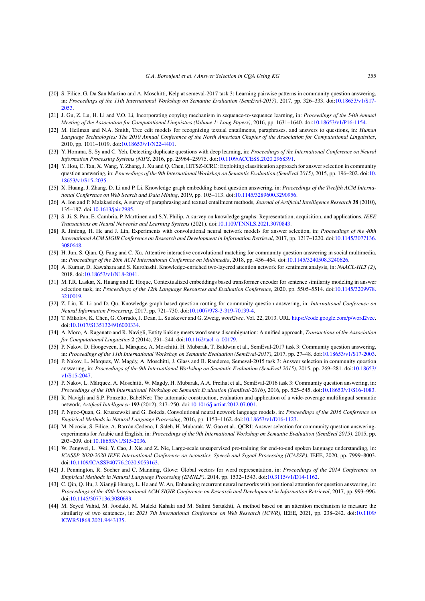- <span id="page-16-16"></span>[20] S. Filice, G. Da San Martino and A. Moschitti, Kelp at semeval-2017 task 3: Learning pairwise patterns in community question answering, in: *Proceedings of the 11th International Workshop on Semantic Evaluation (SemEval-2017)*, 2017, pp. 326–333. doi[:10.18653/v1/S17-](https://doi.org/10.18653/v1/S17-2053) [2053.](https://doi.org/10.18653/v1/S17-2053)
- <span id="page-16-9"></span>[21] J. Gu, Z. Lu, H. Li and V.O. Li, Incorporating copying mechanism in sequence-to-sequence learning, in: *Proceedings of the 54th Annual Meeting of the Association for Computational Linguistics (Volume 1: Long Papers)*, 2016, pp. 1631–1640. doi:[10.18653/v1/P16-1154.](https://doi.org/10.18653/v1/P16-1154)
- <span id="page-16-13"></span>[22] M. Heilman and N.A. Smith, Tree edit models for recognizing textual entailments, paraphrases, and answers to questions, in: *Human Language Technologies: The 2010 Annual Conference of the North American Chapter of the Association for Computational Linguistics*, 2010, pp. 1011–1019. doi:[10.18653/v1/N22-4401](https://doi.org/10.18653/v1/N22-4401).
- <span id="page-16-21"></span>[23] Y. Homma, S. Sy and C. Yeh, Detecting duplicate questions with deep learning, in: *Proceedings of the International Conference on Neural Information Processing Systems (NIPS*, 2016, pp. 25964–25975. doi:[10.1109/ACCESS.2020.2968391](https://doi.org/10.1109/ACCESS.2020.2968391).
- <span id="page-16-15"></span>[24] Y. Hou, C. Tan, X. Wang, Y. Zhang, J. Xu and Q. Chen, HITSZ-ICRC: Exploiting classification approach for answer selection in community question answering, in: *Proceedings of the 9th International Workshop on Semantic Evaluation (SemEval 2015)*, 2015, pp. 196–202. doi:[10.](https://doi.org/10.18653/v1/S15-2035) [18653/v1/S15-2035.](https://doi.org/10.18653/v1/S15-2035)
- <span id="page-16-10"></span>[25] X. Huang, J. Zhang, D. Li and P. Li, Knowledge graph embedding based question answering, in: *Proceedings of the Twelfth ACM International Conference on Web Search and Data Mining*, 2019, pp. 105–113. doi:[10.1145/3289600.3290956.](https://doi.org/10.1145/3289600.3290956)
- <span id="page-16-22"></span>[26] A. Ion and P. Malakasiotis, A survey of paraphrasing and textual entailment methods, *Journal of Artificial Intelligence Research* **38** (2010), 135–187. doi[:10.1613/jair.2985](https://doi.org/10.1613/jair.2985).
- <span id="page-16-12"></span>[27] S. Ji, S. Pan, E. Cambria, P. Marttinen and S.Y. Philip, A survey on knowledge graphs: Representation, acquisition, and applications, *IEEE Transactions on Neural Networks and Learning Systems* (2021). doi:[10.1109/TNNLS.2021.3070843](https://doi.org/10.1109/TNNLS.2021.3070843).
- <span id="page-16-24"></span>[28] R. Jinfeng, H. He and J. Lin, Experiments with convolutional neural network models for answer selection, in: *Proceedings of the 40th International ACM SIGIR Conference on Research and Development in Information Retrieval*, 2017, pp. 1217–1220. doi:[10.1145/3077136.](https://doi.org/10.1145/3077136.3080648) [3080648.](https://doi.org/10.1145/3077136.3080648)
- <span id="page-16-20"></span>[29] H. Jun, S. Qian, Q. Fang and C. Xu, Attentive interactive convolutional matching for community question answering in social multimedia, in: *Proceedings of the 26th ACM International Conference on Multimedia*, 2018, pp. 456–464. doi:[10.1145/3240508.3240626](https://doi.org/10.1145/3240508.3240626).
- <span id="page-16-1"></span>[30] A. Kumar, D. Kawahara and S. Kurohashi, Knowledge-enriched two-layered attention network for sentiment analysis, in: *NAACL-HLT (2)*, 2018. doi[:10.18653/v1/N18-2041.](https://doi.org/10.18653/v1/N18-2041)
- <span id="page-16-14"></span>[31] M.T.R. Laskar, X. Huang and E. Hoque, Contextualized embeddings based transformer encoder for sentence similarity modeling in answer selection task, in: *Proceedings of the 12th Language Resources and Evaluation Conference*, 2020, pp. 5505–5514. doi:[10.1145/3209978.](https://doi.org/10.1145/3209978.3210019) [3210019.](https://doi.org/10.1145/3209978.3210019)
- <span id="page-16-11"></span>[32] Z. Liu, K. Li and D. Qu, Knowledge graph based question routing for community question answering, in: *International Conference on Neural Information Processing*, 2017, pp. 721–730. doi[:10.1007/978-3-319-70139-4](https://doi.org/10.1007/978-3-319-70139-4).
- <span id="page-16-5"></span>[33] T. Mikolov, K. Chen, G. Corrado, J. Dean, L. Sutskever and G. Zweig, *word2vec*, Vol. 22, 2013. URL [https://code.google.com/p/word2vec.](https://code.google.com/p/word2vec) doi[:10.1017/S1351324916000334](https://doi.org/10.1017/S1351324916000334).
- <span id="page-16-19"></span>[34] A. Moro, A. Raganato and R. Navigli, Entity linking meets word sense disambiguation: A unified approach, *Transactions of the Association for Computational Linguistics* **2** (2014), 231–244. doi[:10.1162/tacl\\_a\\_00179](https://doi.org/10.1162/tacl_a_00179).
- <span id="page-16-8"></span>[35] P. Nakov, D. Hoogeveen, L. Màrquez, A. Moschitti, H. Mubarak, T. Baldwin et al., SemEval-2017 task 3: Community question answering, in: *Proceedings of the 11th International Workshop on Semantic Evaluation (SemEval-2017)*, 2017, pp. 27–48. doi[:10.18653/v1/S17-2003.](https://doi.org/10.18653/v1/S17-2003)
- <span id="page-16-2"></span>[36] P. Nakov, L. Màrquez, W. Magdy, A. Moschitti, J. Glass and B. Randeree, Semeval-2015 task 3: Answer selection in community question answering, in: *Proceedings of the 9th International Workshop on Semantic Evaluation (SemEval 2015)*, 2015, pp. 269–281. doi:[10.18653/](https://doi.org/10.18653/v1/S15-2047) [v1/S15-2047.](https://doi.org/10.18653/v1/S15-2047)
- <span id="page-16-7"></span>[37] P. Nakov, L. Màrquez, A. Moschitti, W. Magdy, H. Mubarak, A.A. Freihat et al., SemEval-2016 task 3: Community question answering, in: *Proceedings of the 10th International Workshop on Semantic Evaluation (SemEval-2016)*, 2016, pp. 525–545. doi[:10.18653/v1/S16-1083](https://doi.org/10.18653/v1/S16-1083).
- <span id="page-16-0"></span>[38] R. Navigli and S.P. Ponzetto, BabelNet: The automatic construction, evaluation and application of a wide-coverage multilingual semantic network, *Artifical Intellignece* **193** (2012), 217–250. doi:[10.1016/j.artint.2012.07.001.](https://doi.org/10.1016/j.artint.2012.07.001)
- <span id="page-16-4"></span>[39] P. Ngoc-Quan, G. Kruszewski and G. Boleda, Convolutional neural network language models, in: *Proceedings of the 2016 Conference on Empirical Methods in Natural Language Processing*, 2016, pp. 1153–1162. doi:[10.18653/v1/D16-1123](https://doi.org/10.18653/v1/D16-1123).
- <span id="page-16-3"></span>[40] M. Nicosia, S. Filice, A. Barrón-Cedeno, I. Saleh, H. Mubarak, W. Gao et al., QCRI: Answer selection for community question answeringexperiments for Arabic and English, in: *Proceedings of the 9th International Workshop on Semantic Evaluation (SemEval 2015)*, 2015, pp. 203–209. doi[:10.18653/v1/S15-2036](https://doi.org/10.18653/v1/S15-2036).
- <span id="page-16-17"></span>[41] W. Pengwei, L. Wei, Y. Cao, J. Xie and Z. Nie, Large-scale unsupervised pre-training for end-to-end spoken language understanding, in: *ICASSP 2020-2020 IEEE International Conference on Acoustics, Speech and Signal Processing (ICASSP)*, IEEE, 2020, pp. 7999–8003. doi[:10.1109/ICASSP40776.2020.9053163.](https://doi.org/10.1109/ICASSP40776.2020.9053163)
- <span id="page-16-6"></span>[42] J. Pennington, R. Socher and C. Manning, Glove: Global vectors for word representation, in: *Proceedings of the 2014 Conference on Empirical Methods in Natural Language Processing (EMNLP)*, 2014, pp. 1532–1543. doi[:10.3115/v1/D14-1162.](https://doi.org/10.3115/v1/D14-1162)
- <span id="page-16-18"></span>[43] C. Qin, Q. Hu, J. Xiangji Huang, L. He and W. An, Enhancing recurrent neural networks with positional attention for question answering, in: *Proceedings of the 40th International ACM SIGIR Conference on Research and Development in Information Retrieval*, 2017, pp. 993–996. doi[:10.1145/3077136.3080699.](https://doi.org/10.1145/3077136.3080699)
- <span id="page-16-23"></span>[44] M. Seyed Vahid, M. Joodaki, M. Maleki Kahaki and M. Salimi Sartakhti, A method based on an attention mechanism to measure the similarity of two sentences, in: *2021 7th International Conference on Web Research (ICWR)*, IEEE, 2021, pp. 238–242. doi:[10.1109/](https://doi.org/10.1109/ICWR51868.2021.9443135) [ICWR51868.2021.9443135](https://doi.org/10.1109/ICWR51868.2021.9443135).